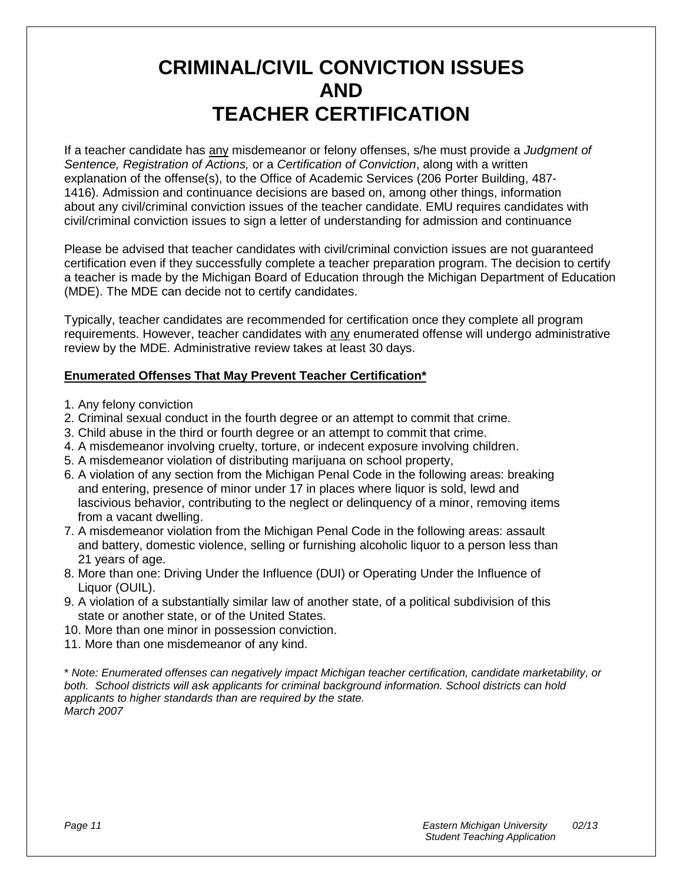## **CRIMINAL/CIVIL CONVICTION ISSUES AND TEACHER CERTIFICATION**

If a teacher candidate has any misdemeanor or felony offenses, s/he must provide a *Judgment of Sentence, Registration of Actions,* or a *Certification of Conviction*, along with a written explanation of the offense(s), to the Office of Academic Services (206 Porter Building, 487- 1416). Admission and continuance decisions are based on, among other things, information about any civil/criminal conviction issues of the teacher candidate. EMU requires candidates with civil/criminal conviction issues to sign a letter of understanding for admission and continuance

Please be advised that teacher candidates with civil/criminal conviction issues are not guaranteed certification even if they successfully complete a teacher preparation program. The decision to certify a teacher is made by the Michigan Board of Education through the Michigan Department of Education (MDE). The MDE can decide not to certify candidates.

Typically, teacher candidates are recommended for certification once they complete all program requirements. However, teacher candidates with any enumerated offense will undergo administrative review by the MDE. Administrative review takes at least 30 days.

## **Enumerated Offenses That May Prevent Teacher Certification\***

- 1. Any felony conviction
- 2. Criminal sexual conduct in the fourth degree or an attempt to commit that crime.
- 3. Child abuse in the third or fourth degree or an attempt to commit that crime.
- 4. A misdemeanor involving cruelty, torture, or indecent exposure involving children.
- 5. A misdemeanor violation of distributing marijuana on school property,
- 6. A violation of any section from the Michigan Penal Code in the following areas: breaking and entering, presence of minor under 17 in places where liquor is sold, lewd and lascivious behavior, contributing to the neglect or delinquency of a minor, removing items from a vacant dwelling.
- 7. A misdemeanor violation from the Michigan Penal Code in the following areas: assault and battery, domestic violence, selling or furnishing alcoholic liquor to a person less than 21 years of age.
- 8. More than one: Driving Under the Influence (DUI) or Operating Under the Influence of Liquor (OUIL).
- 9. A violation of a substantially similar law of another state, of a political subdivision of this state or another state, or of the United States.
- 10. More than one minor in possession conviction.
- 11. More than one misdemeanor of any kind.

\* *Note: Enumerated offenses can negatively impact Michigan teacher certification, candidate marketability, or both. School districts will ask applicants for criminal background information. School districts can hold applicants to higher standards than are required by the state. March 2007*